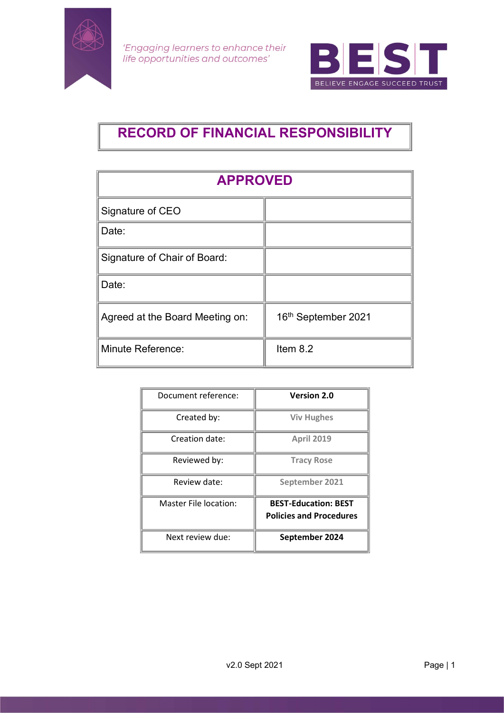



# RECORD OF FINANCIAL RESPONSIBILITY

| <b>APPROVED</b>                 |                     |  |
|---------------------------------|---------------------|--|
| Signature of CEO                |                     |  |
| Date:                           |                     |  |
| Signature of Chair of Board:    |                     |  |
| Date:                           |                     |  |
| Agreed at the Board Meeting on: | 16th September 2021 |  |
| Minute Reference:               | Item $8.2$          |  |

| Document reference:   | <b>Version 2.0</b>             |
|-----------------------|--------------------------------|
| Created by:           | <b>Viv Hughes</b>              |
| Creation date:        | <b>April 2019</b>              |
| Reviewed by:          | <b>Tracy Rose</b>              |
| Review date:          | September 2021                 |
| Master File location: | <b>BEST-Education: BEST</b>    |
|                       | <b>Policies and Procedures</b> |
| Next review due:      | September 2024                 |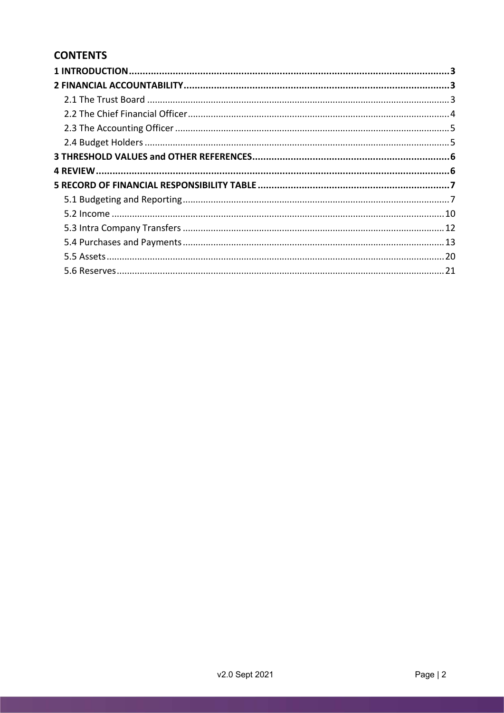# **CONTENTS**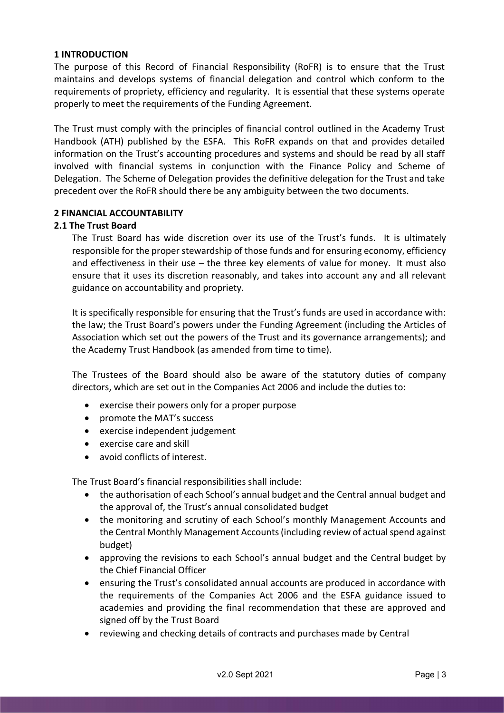#### 1 INTRODUCTION

The purpose of this Record of Financial Responsibility (RoFR) is to ensure that the Trust maintains and develops systems of financial delegation and control which conform to the requirements of propriety, efficiency and regularity. It is essential that these systems operate properly to meet the requirements of the Funding Agreement.

The Trust must comply with the principles of financial control outlined in the Academy Trust Handbook (ATH) published by the ESFA. This RoFR expands on that and provides detailed information on the Trust's accounting procedures and systems and should be read by all staff involved with financial systems in conjunction with the Finance Policy and Scheme of Delegation. The Scheme of Delegation provides the definitive delegation for the Trust and take precedent over the RoFR should there be any ambiguity between the two documents.

#### 2 FINANCIAL ACCOUNTABILITY

#### 2.1 The Trust Board

The Trust Board has wide discretion over its use of the Trust's funds. It is ultimately responsible for the proper stewardship of those funds and for ensuring economy, efficiency and effectiveness in their use – the three key elements of value for money. It must also ensure that it uses its discretion reasonably, and takes into account any and all relevant guidance on accountability and propriety.

It is specifically responsible for ensuring that the Trust's funds are used in accordance with: the law; the Trust Board's powers under the Funding Agreement (including the Articles of Association which set out the powers of the Trust and its governance arrangements); and the Academy Trust Handbook (as amended from time to time).

The Trustees of the Board should also be aware of the statutory duties of company directors, which are set out in the Companies Act 2006 and include the duties to:

- exercise their powers only for a proper purpose
- promote the MAT's success
- exercise independent judgement
- exercise care and skill
- avoid conflicts of interest.

The Trust Board's financial responsibilities shall include:

- the authorisation of each School's annual budget and the Central annual budget and the approval of, the Trust's annual consolidated budget
- the monitoring and scrutiny of each School's monthly Management Accounts and the Central Monthly Management Accounts (including review of actual spend against budget)
- approving the revisions to each School's annual budget and the Central budget by the Chief Financial Officer
- ensuring the Trust's consolidated annual accounts are produced in accordance with the requirements of the Companies Act 2006 and the ESFA guidance issued to academies and providing the final recommendation that these are approved and signed off by the Trust Board
- reviewing and checking details of contracts and purchases made by Central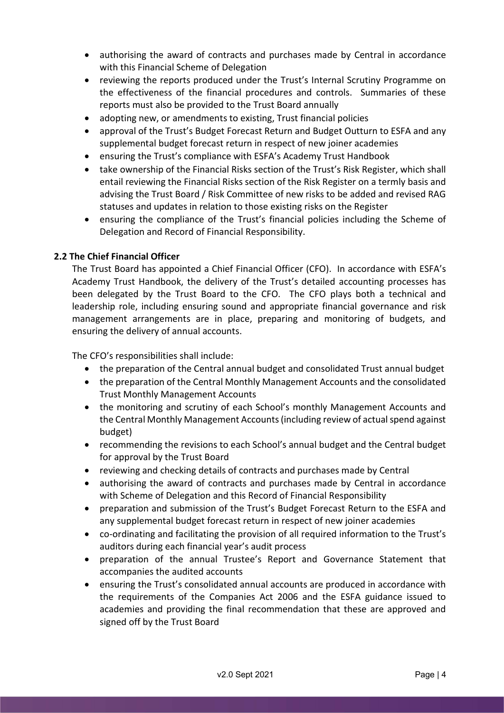- authorising the award of contracts and purchases made by Central in accordance with this Financial Scheme of Delegation
- reviewing the reports produced under the Trust's Internal Scrutiny Programme on the effectiveness of the financial procedures and controls. Summaries of these reports must also be provided to the Trust Board annually
- adopting new, or amendments to existing, Trust financial policies
- approval of the Trust's Budget Forecast Return and Budget Outturn to ESFA and any supplemental budget forecast return in respect of new joiner academies
- ensuring the Trust's compliance with ESFA's Academy Trust Handbook
- take ownership of the Financial Risks section of the Trust's Risk Register, which shall entail reviewing the Financial Risks section of the Risk Register on a termly basis and advising the Trust Board / Risk Committee of new risks to be added and revised RAG statuses and updates in relation to those existing risks on the Register
- ensuring the compliance of the Trust's financial policies including the Scheme of Delegation and Record of Financial Responsibility.

#### 2.2 The Chief Financial Officer

The Trust Board has appointed a Chief Financial Officer (CFO). In accordance with ESFA's Academy Trust Handbook, the delivery of the Trust's detailed accounting processes has been delegated by the Trust Board to the CFO. The CFO plays both a technical and leadership role, including ensuring sound and appropriate financial governance and risk management arrangements are in place, preparing and monitoring of budgets, and ensuring the delivery of annual accounts.

The CFO's responsibilities shall include:

- the preparation of the Central annual budget and consolidated Trust annual budget
- the preparation of the Central Monthly Management Accounts and the consolidated Trust Monthly Management Accounts
- the monitoring and scrutiny of each School's monthly Management Accounts and the Central Monthly Management Accounts (including review of actual spend against budget)
- recommending the revisions to each School's annual budget and the Central budget for approval by the Trust Board
- reviewing and checking details of contracts and purchases made by Central
- authorising the award of contracts and purchases made by Central in accordance with Scheme of Delegation and this Record of Financial Responsibility
- preparation and submission of the Trust's Budget Forecast Return to the ESFA and any supplemental budget forecast return in respect of new joiner academies
- co-ordinating and facilitating the provision of all required information to the Trust's auditors during each financial year's audit process
- preparation of the annual Trustee's Report and Governance Statement that accompanies the audited accounts
- ensuring the Trust's consolidated annual accounts are produced in accordance with the requirements of the Companies Act 2006 and the ESFA guidance issued to academies and providing the final recommendation that these are approved and signed off by the Trust Board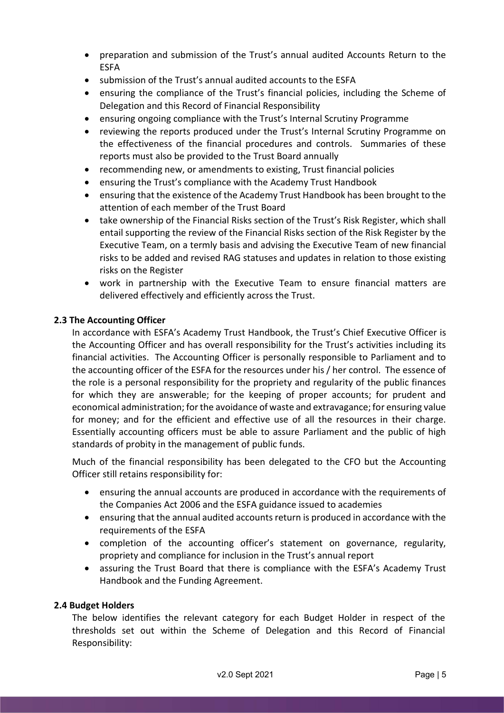- preparation and submission of the Trust's annual audited Accounts Return to the ESFA
- submission of the Trust's annual audited accounts to the ESFA
- ensuring the compliance of the Trust's financial policies, including the Scheme of Delegation and this Record of Financial Responsibility
- ensuring ongoing compliance with the Trust's Internal Scrutiny Programme
- reviewing the reports produced under the Trust's Internal Scrutiny Programme on the effectiveness of the financial procedures and controls. Summaries of these reports must also be provided to the Trust Board annually
- recommending new, or amendments to existing, Trust financial policies
- ensuring the Trust's compliance with the Academy Trust Handbook
- ensuring that the existence of the Academy Trust Handbook has been brought to the attention of each member of the Trust Board
- take ownership of the Financial Risks section of the Trust's Risk Register, which shall entail supporting the review of the Financial Risks section of the Risk Register by the Executive Team, on a termly basis and advising the Executive Team of new financial risks to be added and revised RAG statuses and updates in relation to those existing risks on the Register
- work in partnership with the Executive Team to ensure financial matters are delivered effectively and efficiently across the Trust.

#### 2.3 The Accounting Officer

In accordance with ESFA's Academy Trust Handbook, the Trust's Chief Executive Officer is the Accounting Officer and has overall responsibility for the Trust's activities including its financial activities. The Accounting Officer is personally responsible to Parliament and to the accounting officer of the ESFA for the resources under his / her control. The essence of the role is a personal responsibility for the propriety and regularity of the public finances for which they are answerable; for the keeping of proper accounts; for prudent and economical administration; for the avoidance of waste and extravagance; for ensuring value for money; and for the efficient and effective use of all the resources in their charge. Essentially accounting officers must be able to assure Parliament and the public of high standards of probity in the management of public funds.

Much of the financial responsibility has been delegated to the CFO but the Accounting Officer still retains responsibility for:

- ensuring the annual accounts are produced in accordance with the requirements of the Companies Act 2006 and the ESFA guidance issued to academies
- ensuring that the annual audited accounts return is produced in accordance with the requirements of the ESFA
- completion of the accounting officer's statement on governance, regularity, propriety and compliance for inclusion in the Trust's annual report
- assuring the Trust Board that there is compliance with the ESFA's Academy Trust Handbook and the Funding Agreement.

#### 2.4 Budget Holders

The below identifies the relevant category for each Budget Holder in respect of the thresholds set out within the Scheme of Delegation and this Record of Financial Responsibility: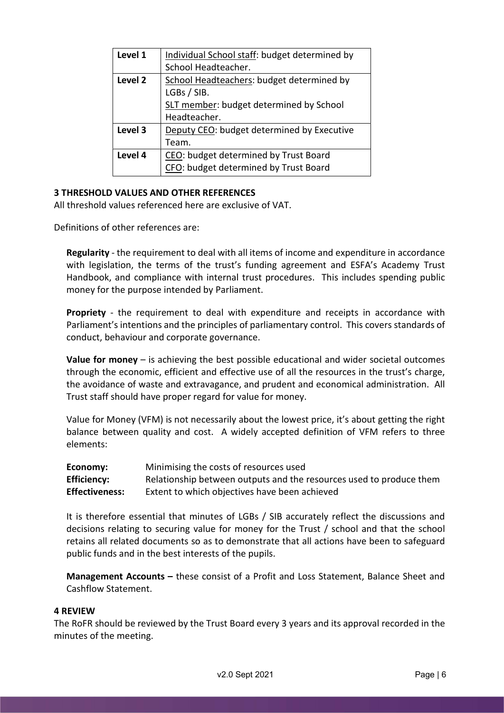| Level 1            | Individual School staff: budget determined by |
|--------------------|-----------------------------------------------|
|                    | School Headteacher.                           |
| Level <sub>2</sub> | School Headteachers: budget determined by     |
|                    | LGBs / SIB.                                   |
|                    | SLT member: budget determined by School       |
|                    | Headteacher.                                  |
| Level 3            | Deputy CEO: budget determined by Executive    |
|                    | Team.                                         |
| Level 4            | CEO: budget determined by Trust Board         |
|                    | CFO: budget determined by Trust Board         |

#### 3 THRESHOLD VALUES AND OTHER REFERENCES

All threshold values referenced here are exclusive of VAT.

Definitions of other references are:

Regularity - the requirement to deal with all items of income and expenditure in accordance with legislation, the terms of the trust's funding agreement and ESFA's Academy Trust Handbook, and compliance with internal trust procedures. This includes spending public money for the purpose intended by Parliament.

Propriety - the requirement to deal with expenditure and receipts in accordance with Parliament's intentions and the principles of parliamentary control. This covers standards of conduct, behaviour and corporate governance.

Value for money  $-$  is achieving the best possible educational and wider societal outcomes through the economic, efficient and effective use of all the resources in the trust's charge, the avoidance of waste and extravagance, and prudent and economical administration. All Trust staff should have proper regard for value for money.

Value for Money (VFM) is not necessarily about the lowest price, it's about getting the right balance between quality and cost. A widely accepted definition of VFM refers to three elements:

| Economy:              | Minimising the costs of resources used                              |
|-----------------------|---------------------------------------------------------------------|
| <b>Efficiency:</b>    | Relationship between outputs and the resources used to produce them |
| <b>Effectiveness:</b> | Extent to which objectives have been achieved                       |

It is therefore essential that minutes of LGBs / SIB accurately reflect the discussions and decisions relating to securing value for money for the Trust / school and that the school retains all related documents so as to demonstrate that all actions have been to safeguard public funds and in the best interests of the pupils.

Management Accounts – these consist of a Profit and Loss Statement, Balance Sheet and Cashflow Statement.

#### 4 REVIEW

The RoFR should be reviewed by the Trust Board every 3 years and its approval recorded in the minutes of the meeting.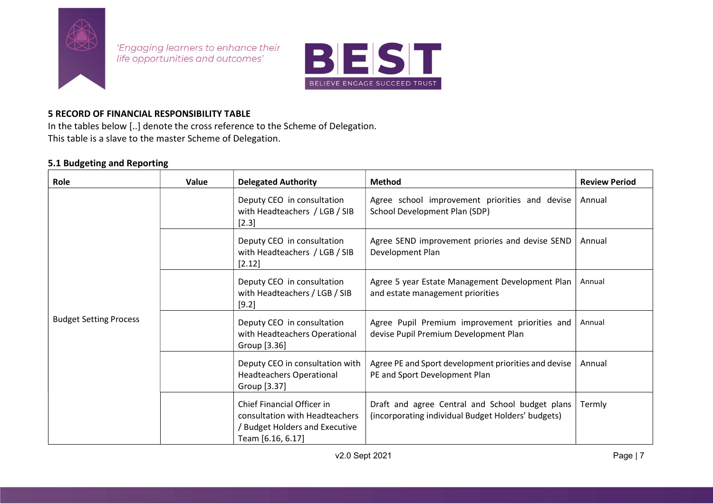

'Engaging learners to enhance their life opportunities and outcomes'



#### 5 RECORD OF FINANCIAL RESPONSIBILITY TABLE

In the tables below [..] denote the cross reference to the Scheme of Delegation. This table is a slave to the master Scheme of Delegation.

#### 5.1 Budgeting and Reporting

| Role                          | Value | <b>Delegated Authority</b>                                                                                                 | <b>Method</b>                                                                                         | <b>Review Period</b> |
|-------------------------------|-------|----------------------------------------------------------------------------------------------------------------------------|-------------------------------------------------------------------------------------------------------|----------------------|
| <b>Budget Setting Process</b> |       | Deputy CEO in consultation<br>with Headteachers / LGB / SIB<br>[2.3]                                                       | Agree school improvement priorities and devise<br>School Development Plan (SDP)                       | Annual               |
|                               |       | Deputy CEO in consultation<br>with Headteachers / LGB / SIB<br>[2.12]                                                      | Agree SEND improvement priories and devise SEND<br>Development Plan                                   | Annual               |
|                               |       | Deputy CEO in consultation<br>with Headteachers / LGB / SIB<br>[9.2]                                                       | Agree 5 year Estate Management Development Plan<br>and estate management priorities                   | Annual               |
|                               |       | Deputy CEO in consultation<br>with Headteachers Operational<br>Group [3.36]                                                | Agree Pupil Premium improvement priorities and<br>devise Pupil Premium Development Plan               | Annual               |
|                               |       | Deputy CEO in consultation with<br><b>Headteachers Operational</b><br>Group [3.37]                                         | Agree PE and Sport development priorities and devise<br>PE and Sport Development Plan                 | Annual               |
|                               |       | <b>Chief Financial Officer in</b><br>consultation with Headteachers<br>/ Budget Holders and Executive<br>Team [6.16, 6.17] | Draft and agree Central and School budget plans<br>(incorporating individual Budget Holders' budgets) | Termly               |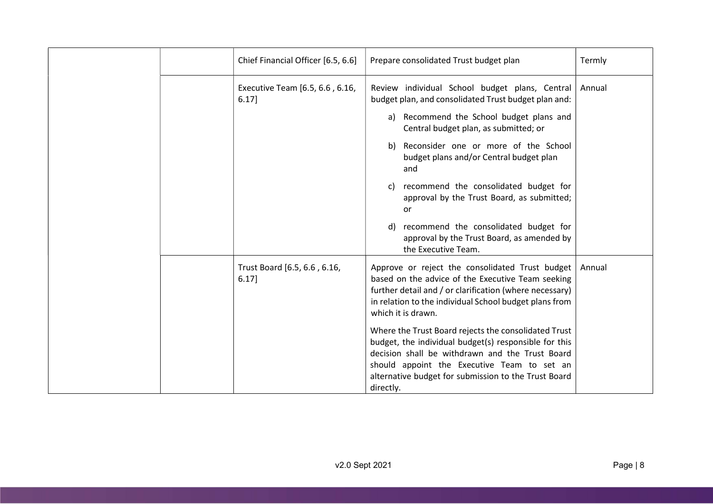| Chief Financial Officer [6.5, 6.6]          | Prepare consolidated Trust budget plan                                                                                                                                                                                                                                               | Termly |
|---------------------------------------------|--------------------------------------------------------------------------------------------------------------------------------------------------------------------------------------------------------------------------------------------------------------------------------------|--------|
| Executive Team [6.5, 6.6, 6.16,<br>$6.17$ ] | Review individual School budget plans, Central<br>budget plan, and consolidated Trust budget plan and:                                                                                                                                                                               | Annual |
|                                             | a) Recommend the School budget plans and<br>Central budget plan, as submitted; or                                                                                                                                                                                                    |        |
|                                             | b) Reconsider one or more of the School<br>budget plans and/or Central budget plan<br>and                                                                                                                                                                                            |        |
|                                             | recommend the consolidated budget for<br>C)<br>approval by the Trust Board, as submitted;<br>or                                                                                                                                                                                      |        |
|                                             | recommend the consolidated budget for<br>d)<br>approval by the Trust Board, as amended by<br>the Executive Team.                                                                                                                                                                     |        |
| Trust Board [6.5, 6.6, 6.16,<br>$6.17$ ]    | Approve or reject the consolidated Trust budget<br>based on the advice of the Executive Team seeking<br>further detail and / or clarification (where necessary)<br>in relation to the individual School budget plans from<br>which it is drawn.                                      | Annual |
|                                             | Where the Trust Board rejects the consolidated Trust<br>budget, the individual budget(s) responsible for this<br>decision shall be withdrawn and the Trust Board<br>should appoint the Executive Team to set an<br>alternative budget for submission to the Trust Board<br>directly. |        |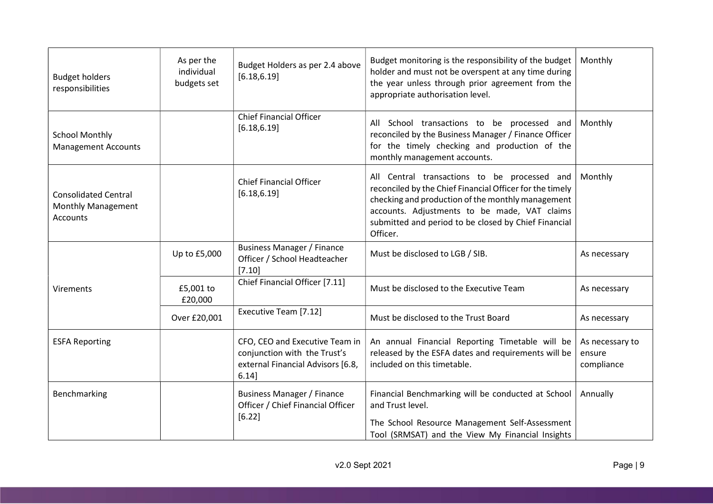| <b>Budget holders</b><br>responsibilities                     | As per the<br>individual<br>budgets set | Budget Holders as per 2.4 above<br>[6.18, 6.19]                                                                 | Budget monitoring is the responsibility of the budget<br>holder and must not be overspent at any time during<br>the year unless through prior agreement from the<br>appropriate authorisation level.                                                                              | Monthly                                 |
|---------------------------------------------------------------|-----------------------------------------|-----------------------------------------------------------------------------------------------------------------|-----------------------------------------------------------------------------------------------------------------------------------------------------------------------------------------------------------------------------------------------------------------------------------|-----------------------------------------|
| <b>School Monthly</b><br><b>Management Accounts</b>           |                                         | <b>Chief Financial Officer</b><br>[6.18, 6.19]                                                                  | All School transactions to be processed and<br>reconciled by the Business Manager / Finance Officer<br>for the timely checking and production of the<br>monthly management accounts.                                                                                              | Monthly                                 |
| <b>Consolidated Central</b><br>Monthly Management<br>Accounts |                                         | <b>Chief Financial Officer</b><br>[6.18, 6.19]                                                                  | All Central transactions to be processed and<br>reconciled by the Chief Financial Officer for the timely<br>checking and production of the monthly management<br>accounts. Adjustments to be made, VAT claims<br>submitted and period to be closed by Chief Financial<br>Officer. | Monthly                                 |
|                                                               | Up to £5,000                            | <b>Business Manager / Finance</b><br>Officer / School Headteacher<br>[7.10]                                     | Must be disclosed to LGB / SIB.                                                                                                                                                                                                                                                   | As necessary                            |
| Virements                                                     | £5,001 to<br>£20,000                    | Chief Financial Officer [7.11]                                                                                  | Must be disclosed to the Executive Team                                                                                                                                                                                                                                           | As necessary                            |
|                                                               | Over £20,001                            | Executive Team [7.12]                                                                                           | Must be disclosed to the Trust Board                                                                                                                                                                                                                                              | As necessary                            |
| <b>ESFA Reporting</b>                                         |                                         | CFO, CEO and Executive Team in<br>conjunction with the Trust's<br>external Financial Advisors [6.8,<br>$6.14$ ] | An annual Financial Reporting Timetable will be<br>released by the ESFA dates and requirements will be<br>included on this timetable.                                                                                                                                             | As necessary to<br>ensure<br>compliance |
| Benchmarking                                                  |                                         | <b>Business Manager / Finance</b><br>Officer / Chief Financial Officer<br>[6.22]                                | Financial Benchmarking will be conducted at School<br>and Trust level.<br>The School Resource Management Self-Assessment<br>Tool (SRMSAT) and the View My Financial Insights                                                                                                      | Annually                                |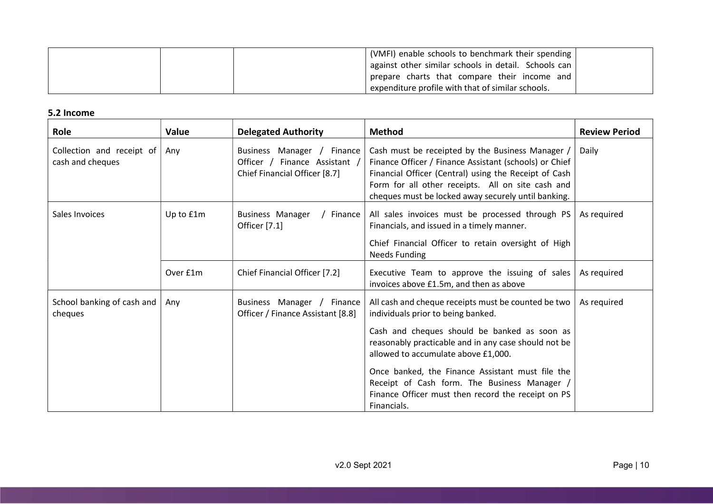| (VMFI) enable schools to benchmark their spending  <br>  against other similar schools in detail. Schools can |  |
|---------------------------------------------------------------------------------------------------------------|--|
| prepare charts that compare their income and<br>expenditure profile with that of similar schools.             |  |

#### 5.2 Income

| Role                                          | Value     | <b>Delegated Authority</b>                                                                   | <b>Method</b>                                                                                                                                                                                                                                                                                                                                                                                                     | <b>Review Period</b> |
|-----------------------------------------------|-----------|----------------------------------------------------------------------------------------------|-------------------------------------------------------------------------------------------------------------------------------------------------------------------------------------------------------------------------------------------------------------------------------------------------------------------------------------------------------------------------------------------------------------------|----------------------|
| Collection and receipt of<br>cash and cheques | Any       | Business Manager / Finance<br>Officer / Finance Assistant /<br>Chief Financial Officer [8.7] | Cash must be receipted by the Business Manager /<br>Finance Officer / Finance Assistant (schools) or Chief<br>Financial Officer (Central) using the Receipt of Cash<br>Form for all other receipts. All on site cash and<br>cheques must be locked away securely until banking.                                                                                                                                   | Daily                |
| Sales Invoices                                | Up to £1m | <b>Business Manager</b><br>/ Finance<br>Officer [7.1]                                        | All sales invoices must be processed through PS<br>Financials, and issued in a timely manner.<br>Chief Financial Officer to retain oversight of High<br><b>Needs Funding</b>                                                                                                                                                                                                                                      | As required          |
|                                               | Over £1m  | Chief Financial Officer [7.2]                                                                | Executive Team to approve the issuing of sales<br>invoices above £1.5m, and then as above                                                                                                                                                                                                                                                                                                                         | As required          |
| School banking of cash and<br>cheques         | Any       | Business Manager / Finance<br>Officer / Finance Assistant [8.8]                              | All cash and cheque receipts must be counted be two<br>individuals prior to being banked.<br>Cash and cheques should be banked as soon as<br>reasonably practicable and in any case should not be<br>allowed to accumulate above £1,000.<br>Once banked, the Finance Assistant must file the<br>Receipt of Cash form. The Business Manager /<br>Finance Officer must then record the receipt on PS<br>Financials. | As required          |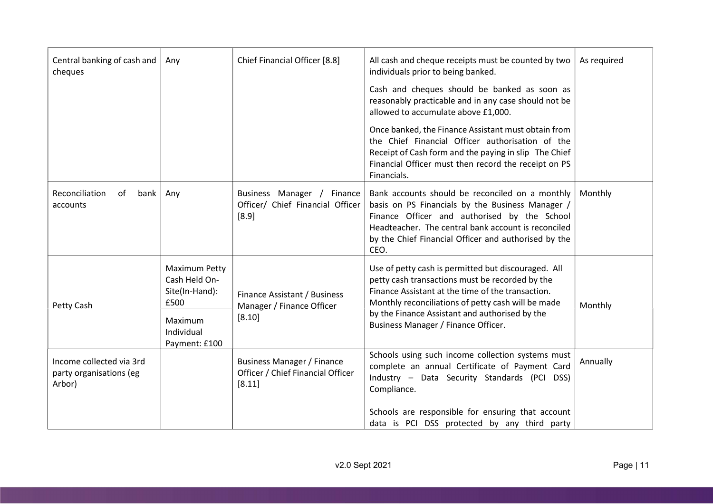| Central banking of cash and<br>cheques                        | Any                                                      | Chief Financial Officer [8.8]                                                    | All cash and cheque receipts must be counted by two<br>individuals prior to being banked.                                                                                                                                                                                  | As required |
|---------------------------------------------------------------|----------------------------------------------------------|----------------------------------------------------------------------------------|----------------------------------------------------------------------------------------------------------------------------------------------------------------------------------------------------------------------------------------------------------------------------|-------------|
|                                                               |                                                          |                                                                                  | Cash and cheques should be banked as soon as<br>reasonably practicable and in any case should not be<br>allowed to accumulate above £1,000.                                                                                                                                |             |
|                                                               |                                                          |                                                                                  | Once banked, the Finance Assistant must obtain from<br>the Chief Financial Officer authorisation of the<br>Receipt of Cash form and the paying in slip The Chief<br>Financial Officer must then record the receipt on PS<br>Financials.                                    |             |
| Reconciliation<br>οf<br>bank<br>accounts                      | Any                                                      | Business Manager / Finance<br>Officer/ Chief Financial Officer<br>[8.9]          | Bank accounts should be reconciled on a monthly<br>basis on PS Financials by the Business Manager /<br>Finance Officer and authorised by the School<br>Headteacher. The central bank account is reconciled<br>by the Chief Financial Officer and authorised by the<br>CEO. | Monthly     |
| Petty Cash                                                    | Maximum Petty<br>Cash Held On-<br>Site(In-Hand):<br>£500 | Finance Assistant / Business<br>Manager / Finance Officer                        | Use of petty cash is permitted but discouraged. All<br>petty cash transactions must be recorded by the<br>Finance Assistant at the time of the transaction.<br>Monthly reconciliations of petty cash will be made                                                          | Monthly     |
|                                                               | Maximum<br>Individual<br>Payment: £100                   | [8.10]                                                                           | by the Finance Assistant and authorised by the<br>Business Manager / Finance Officer.                                                                                                                                                                                      |             |
| Income collected via 3rd<br>party organisations (eg<br>Arbor) |                                                          | <b>Business Manager / Finance</b><br>Officer / Chief Financial Officer<br>[8.11] | Schools using such income collection systems must<br>complete an annual Certificate of Payment Card<br>Industry - Data Security Standards (PCI DSS)<br>Compliance.                                                                                                         | Annually    |
|                                                               |                                                          |                                                                                  | Schools are responsible for ensuring that account<br>data is PCI DSS protected by any third party                                                                                                                                                                          |             |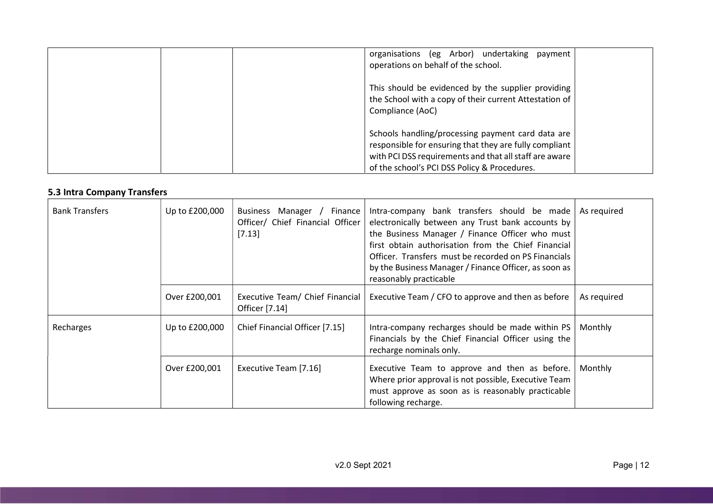| organisations (eg Arbor) undertaking payment<br>operations on behalf of the school.                                                                                                                                   |
|-----------------------------------------------------------------------------------------------------------------------------------------------------------------------------------------------------------------------|
| This should be evidenced by the supplier providing<br>the School with a copy of their current Attestation of<br>Compliance (AoC)                                                                                      |
| Schools handling/processing payment card data are<br>responsible for ensuring that they are fully compliant<br>with PCI DSS requirements and that all staff are aware<br>of the school's PCI DSS Policy & Procedures. |

### 5.3 Intra Company Transfers

| <b>Bank Transfers</b> | Up to £200,000 | Manager /<br><b>Business</b><br>Finance<br>Officer/ Chief Financial Officer<br>[7.13] | Intra-company bank transfers should be made<br>electronically between any Trust bank accounts by<br>the Business Manager / Finance Officer who must<br>first obtain authorisation from the Chief Financial<br>Officer. Transfers must be recorded on PS Financials<br>by the Business Manager / Finance Officer, as soon as<br>reasonably practicable | As required |
|-----------------------|----------------|---------------------------------------------------------------------------------------|-------------------------------------------------------------------------------------------------------------------------------------------------------------------------------------------------------------------------------------------------------------------------------------------------------------------------------------------------------|-------------|
|                       | Over £200,001  | Executive Team/ Chief Financial<br>Officer [7.14]                                     | Executive Team / CFO to approve and then as before                                                                                                                                                                                                                                                                                                    | As required |
| Recharges             | Up to £200,000 | Chief Financial Officer [7.15]                                                        | Intra-company recharges should be made within PS<br>Financials by the Chief Financial Officer using the<br>recharge nominals only.                                                                                                                                                                                                                    | Monthly     |
|                       | Over £200,001  | Executive Team [7.16]                                                                 | Executive Team to approve and then as before.<br>Where prior approval is not possible, Executive Team<br>must approve as soon as is reasonably practicable<br>following recharge.                                                                                                                                                                     | Monthly     |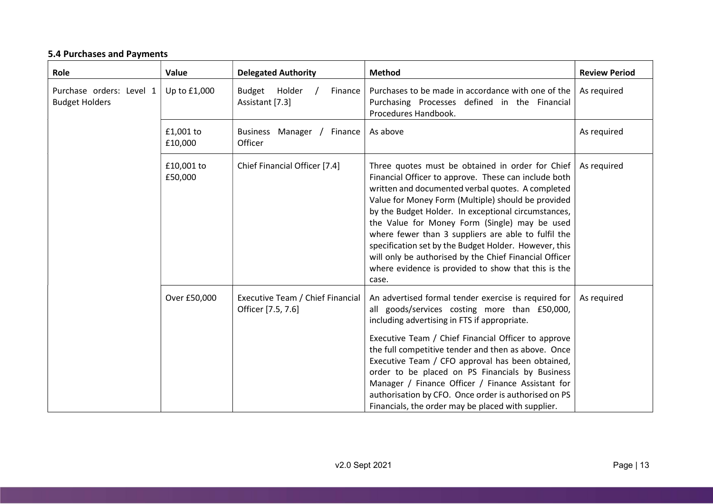# 5.4 Purchases and Payments

| Role                                              | Value                 | <b>Delegated Authority</b>                             | <b>Method</b>                                                                                                                                                                                                                                                                                                                                                                                                                                                                                                                                                         | <b>Review Period</b> |
|---------------------------------------------------|-----------------------|--------------------------------------------------------|-----------------------------------------------------------------------------------------------------------------------------------------------------------------------------------------------------------------------------------------------------------------------------------------------------------------------------------------------------------------------------------------------------------------------------------------------------------------------------------------------------------------------------------------------------------------------|----------------------|
| Purchase orders: Level 1<br><b>Budget Holders</b> | Up to £1,000          | Budget Holder<br>Finance<br>Assistant [7.3]            | Purchases to be made in accordance with one of the<br>Purchasing Processes defined in the Financial<br>Procedures Handbook.                                                                                                                                                                                                                                                                                                                                                                                                                                           | As required          |
|                                                   | £1,001 to<br>£10,000  | Manager / Finance<br><b>Business</b><br>Officer        | As above                                                                                                                                                                                                                                                                                                                                                                                                                                                                                                                                                              | As required          |
|                                                   | £10,001 to<br>£50,000 | Chief Financial Officer [7.4]                          | Three quotes must be obtained in order for Chief<br>Financial Officer to approve. These can include both<br>written and documented verbal quotes. A completed<br>Value for Money Form (Multiple) should be provided<br>by the Budget Holder. In exceptional circumstances,<br>the Value for Money Form (Single) may be used<br>where fewer than 3 suppliers are able to fulfil the<br>specification set by the Budget Holder. However, this<br>will only be authorised by the Chief Financial Officer<br>where evidence is provided to show that this is the<br>case. | As required          |
|                                                   | Over £50,000          | Executive Team / Chief Financial<br>Officer [7.5, 7.6] | An advertised formal tender exercise is required for<br>all goods/services costing more than £50,000,<br>including advertising in FTS if appropriate.<br>Executive Team / Chief Financial Officer to approve<br>the full competitive tender and then as above. Once<br>Executive Team / CFO approval has been obtained,<br>order to be placed on PS Financials by Business<br>Manager / Finance Officer / Finance Assistant for<br>authorisation by CFO. Once order is authorised on PS<br>Financials, the order may be placed with supplier.                         | As required          |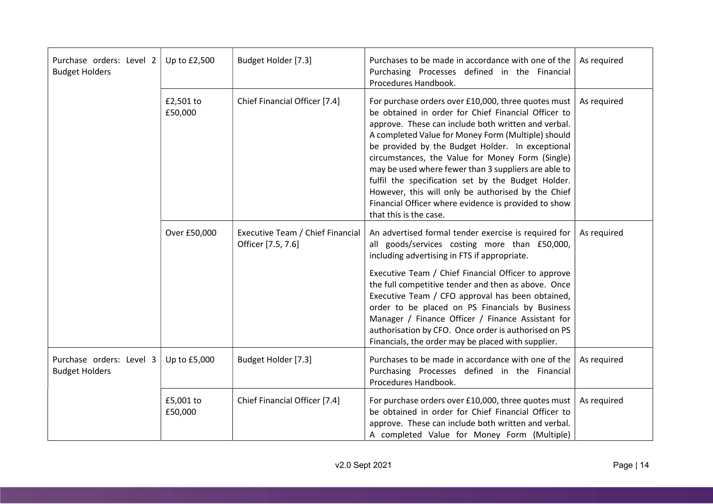| Purchase orders: Level 2<br><b>Budget Holders</b> | Up to £2,500         | Budget Holder [7.3]                                    | Purchases to be made in accordance with one of the<br>Purchasing Processes defined in the Financial<br>Procedures Handbook.                                                                                                                                                                                                                                                                                                                                                                                                                                                           | As required |
|---------------------------------------------------|----------------------|--------------------------------------------------------|---------------------------------------------------------------------------------------------------------------------------------------------------------------------------------------------------------------------------------------------------------------------------------------------------------------------------------------------------------------------------------------------------------------------------------------------------------------------------------------------------------------------------------------------------------------------------------------|-------------|
|                                                   | £2,501 to<br>£50,000 | Chief Financial Officer [7.4]                          | For purchase orders over £10,000, three quotes must<br>be obtained in order for Chief Financial Officer to<br>approve. These can include both written and verbal.<br>A completed Value for Money Form (Multiple) should<br>be provided by the Budget Holder. In exceptional<br>circumstances, the Value for Money Form (Single)<br>may be used where fewer than 3 suppliers are able to<br>fulfil the specification set by the Budget Holder.<br>However, this will only be authorised by the Chief<br>Financial Officer where evidence is provided to show<br>that this is the case. | As required |
|                                                   | Over £50,000         | Executive Team / Chief Financial<br>Officer [7.5, 7.6] | An advertised formal tender exercise is required for<br>all goods/services costing more than £50,000,<br>including advertising in FTS if appropriate.<br>Executive Team / Chief Financial Officer to approve<br>the full competitive tender and then as above. Once<br>Executive Team / CFO approval has been obtained,                                                                                                                                                                                                                                                               | As required |
|                                                   |                      |                                                        | order to be placed on PS Financials by Business<br>Manager / Finance Officer / Finance Assistant for<br>authorisation by CFO. Once order is authorised on PS<br>Financials, the order may be placed with supplier.                                                                                                                                                                                                                                                                                                                                                                    |             |
| Purchase orders: Level 3<br><b>Budget Holders</b> | Up to £5,000         | Budget Holder [7.3]                                    | Purchases to be made in accordance with one of the<br>Purchasing Processes defined in the Financial<br>Procedures Handbook.                                                                                                                                                                                                                                                                                                                                                                                                                                                           | As required |
|                                                   | £5,001 to<br>£50,000 | Chief Financial Officer [7.4]                          | For purchase orders over £10,000, three quotes must<br>be obtained in order for Chief Financial Officer to<br>approve. These can include both written and verbal.<br>A completed Value for Money Form (Multiple)                                                                                                                                                                                                                                                                                                                                                                      | As required |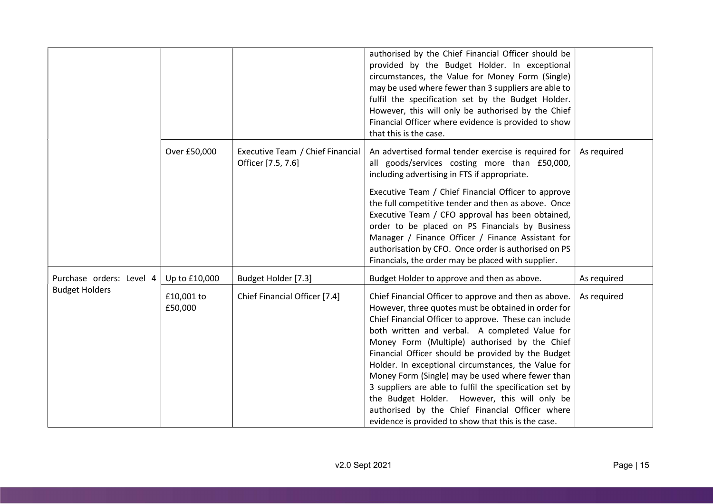|                          |                       |                                                        | authorised by the Chief Financial Officer should be<br>provided by the Budget Holder. In exceptional<br>circumstances, the Value for Money Form (Single)<br>may be used where fewer than 3 suppliers are able to<br>fulfil the specification set by the Budget Holder.<br>However, this will only be authorised by the Chief<br>Financial Officer where evidence is provided to show<br>that this is the case.                                                                                                                                                                                                                                                  |             |
|--------------------------|-----------------------|--------------------------------------------------------|-----------------------------------------------------------------------------------------------------------------------------------------------------------------------------------------------------------------------------------------------------------------------------------------------------------------------------------------------------------------------------------------------------------------------------------------------------------------------------------------------------------------------------------------------------------------------------------------------------------------------------------------------------------------|-------------|
|                          | Over £50,000          | Executive Team / Chief Financial<br>Officer [7.5, 7.6] | An advertised formal tender exercise is required for<br>all goods/services costing more than £50,000,<br>including advertising in FTS if appropriate.<br>Executive Team / Chief Financial Officer to approve<br>the full competitive tender and then as above. Once<br>Executive Team / CFO approval has been obtained,<br>order to be placed on PS Financials by Business<br>Manager / Finance Officer / Finance Assistant for<br>authorisation by CFO. Once order is authorised on PS<br>Financials, the order may be placed with supplier.                                                                                                                   | As required |
| Purchase orders: Level 4 | Up to £10,000         | Budget Holder [7.3]                                    | Budget Holder to approve and then as above.                                                                                                                                                                                                                                                                                                                                                                                                                                                                                                                                                                                                                     | As required |
| <b>Budget Holders</b>    | £10,001 to<br>£50,000 | Chief Financial Officer [7.4]                          | Chief Financial Officer to approve and then as above.<br>However, three quotes must be obtained in order for<br>Chief Financial Officer to approve. These can include<br>both written and verbal. A completed Value for<br>Money Form (Multiple) authorised by the Chief<br>Financial Officer should be provided by the Budget<br>Holder. In exceptional circumstances, the Value for<br>Money Form (Single) may be used where fewer than<br>3 suppliers are able to fulfil the specification set by<br>the Budget Holder. However, this will only be<br>authorised by the Chief Financial Officer where<br>evidence is provided to show that this is the case. | As required |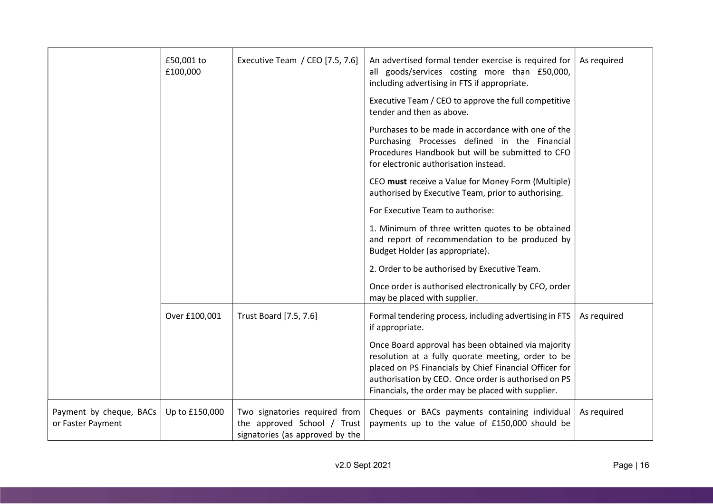|                                              | £50,001 to<br>£100,000 | Executive Team / CEO [7.5, 7.6]                                                                 | An advertised formal tender exercise is required for<br>all goods/services costing more than £50,000,<br>including advertising in FTS if appropriate.                                                                                                                            | As required |
|----------------------------------------------|------------------------|-------------------------------------------------------------------------------------------------|----------------------------------------------------------------------------------------------------------------------------------------------------------------------------------------------------------------------------------------------------------------------------------|-------------|
|                                              |                        |                                                                                                 | Executive Team / CEO to approve the full competitive<br>tender and then as above.                                                                                                                                                                                                |             |
|                                              |                        |                                                                                                 | Purchases to be made in accordance with one of the<br>Purchasing Processes defined in the Financial<br>Procedures Handbook but will be submitted to CFO<br>for electronic authorisation instead.                                                                                 |             |
|                                              |                        |                                                                                                 | CEO must receive a Value for Money Form (Multiple)<br>authorised by Executive Team, prior to authorising.                                                                                                                                                                        |             |
|                                              |                        |                                                                                                 | For Executive Team to authorise:                                                                                                                                                                                                                                                 |             |
|                                              |                        |                                                                                                 | 1. Minimum of three written quotes to be obtained<br>and report of recommendation to be produced by<br>Budget Holder (as appropriate).                                                                                                                                           |             |
|                                              |                        |                                                                                                 | 2. Order to be authorised by Executive Team.                                                                                                                                                                                                                                     |             |
|                                              |                        |                                                                                                 | Once order is authorised electronically by CFO, order<br>may be placed with supplier.                                                                                                                                                                                            |             |
|                                              | Over £100,001          | Trust Board [7.5, 7.6]                                                                          | Formal tendering process, including advertising in FTS<br>if appropriate.                                                                                                                                                                                                        | As required |
|                                              |                        |                                                                                                 | Once Board approval has been obtained via majority<br>resolution at a fully quorate meeting, order to be<br>placed on PS Financials by Chief Financial Officer for<br>authorisation by CEO. Once order is authorised on PS<br>Financials, the order may be placed with supplier. |             |
| Payment by cheque, BACs<br>or Faster Payment | Up to £150,000         | Two signatories required from<br>the approved School / Trust<br>signatories (as approved by the | Cheques or BACs payments containing individual<br>payments up to the value of £150,000 should be                                                                                                                                                                                 | As required |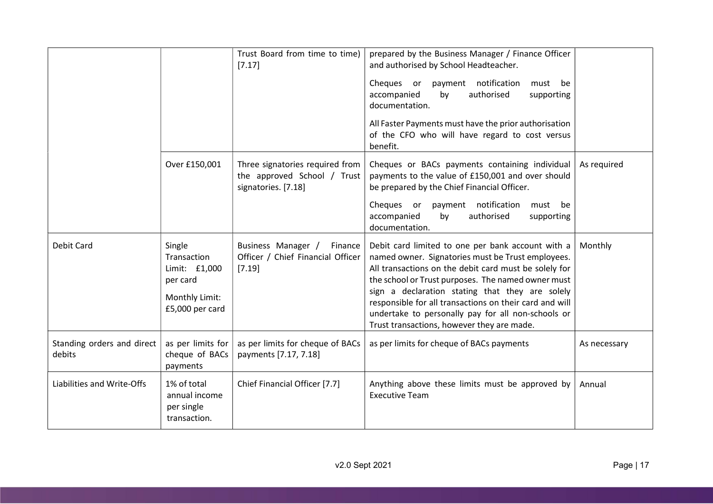|                                      |                                                                                         | Trust Board from time to time)<br>[7.17]                                              | prepared by the Business Manager / Finance Officer<br>and authorised by School Headteacher.<br>Cheques or payment notification<br>must<br>be<br>authorised<br>accompanied<br>by<br>supporting<br>documentation.<br>All Faster Payments must have the prior authorisation<br>of the CFO who will have regard to cost versus<br>benefit.                                                                                                  |              |
|--------------------------------------|-----------------------------------------------------------------------------------------|---------------------------------------------------------------------------------------|-----------------------------------------------------------------------------------------------------------------------------------------------------------------------------------------------------------------------------------------------------------------------------------------------------------------------------------------------------------------------------------------------------------------------------------------|--------------|
|                                      | Over £150,001                                                                           | Three signatories required from<br>the approved School / Trust<br>signatories. [7.18] | Cheques or BACs payments containing individual<br>payments to the value of £150,001 and over should<br>be prepared by the Chief Financial Officer.                                                                                                                                                                                                                                                                                      | As required  |
|                                      |                                                                                         |                                                                                       | payment notification<br>Cheques or<br>must<br>be<br>accompanied<br>authorised<br>by<br>supporting<br>documentation.                                                                                                                                                                                                                                                                                                                     |              |
| Debit Card                           | Single<br>Transaction<br>Limit: £1,000<br>per card<br>Monthly Limit:<br>£5,000 per card | Business Manager /<br>Finance<br>Officer / Chief Financial Officer<br>[7.19]          | Debit card limited to one per bank account with a<br>named owner. Signatories must be Trust employees.<br>All transactions on the debit card must be solely for<br>the school or Trust purposes. The named owner must<br>sign a declaration stating that they are solely<br>responsible for all transactions on their card and will<br>undertake to personally pay for all non-schools or<br>Trust transactions, however they are made. | Monthly      |
| Standing orders and direct<br>debits | as per limits for<br>cheque of BACs<br>payments                                         | as per limits for cheque of BACs<br>payments [7.17, 7.18]                             | as per limits for cheque of BACs payments                                                                                                                                                                                                                                                                                                                                                                                               | As necessary |
| Liabilities and Write-Offs           | 1% of total<br>annual income<br>per single<br>transaction.                              | Chief Financial Officer [7.7]                                                         | Anything above these limits must be approved by<br><b>Executive Team</b>                                                                                                                                                                                                                                                                                                                                                                | Annual       |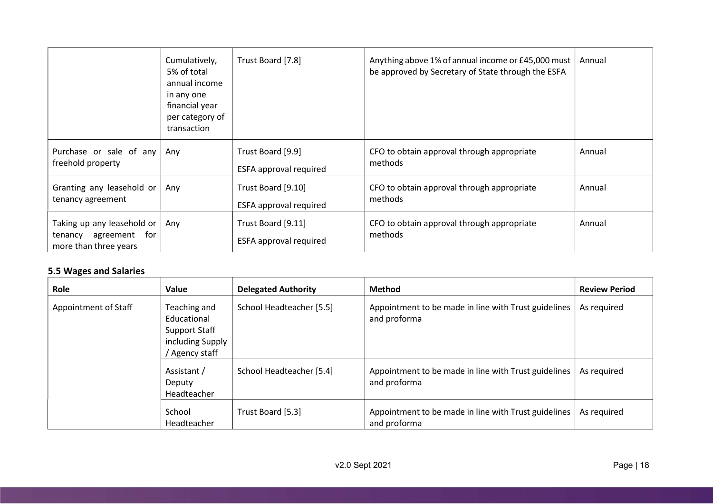|                                                                                 | Cumulatively,<br>5% of total<br>annual income<br>in any one<br>financial year<br>per category of<br>transaction | Trust Board [7.8]                                   | Anything above 1% of annual income or £45,000 must<br>be approved by Secretary of State through the ESFA | Annual |
|---------------------------------------------------------------------------------|-----------------------------------------------------------------------------------------------------------------|-----------------------------------------------------|----------------------------------------------------------------------------------------------------------|--------|
| Purchase or sale of any<br>freehold property                                    | Any                                                                                                             | Trust Board [9.9]<br><b>ESFA approval required</b>  | CFO to obtain approval through appropriate<br>methods                                                    | Annual |
| Granting any leasehold or<br>tenancy agreement                                  | Any                                                                                                             | Trust Board [9.10]<br><b>ESFA approval required</b> | CFO to obtain approval through appropriate<br>methods                                                    | Annual |
| Taking up any leasehold or<br>agreement for<br>tenancy<br>more than three years | Any                                                                                                             | Trust Board [9.11]<br><b>ESFA approval required</b> | CFO to obtain approval through appropriate<br>methods                                                    | Annual |

# 5.5 Wages and Salaries

| Role                 | Value                                                                            | <b>Delegated Authority</b> | <b>Method</b>                                                        | <b>Review Period</b> |
|----------------------|----------------------------------------------------------------------------------|----------------------------|----------------------------------------------------------------------|----------------------|
| Appointment of Staff | Teaching and<br>Educational<br>Support Staff<br>including Supply<br>Agency staff | School Headteacher [5.5]   | Appointment to be made in line with Trust guidelines<br>and proforma | As required          |
|                      | Assistant /<br>Deputy<br>Headteacher                                             | School Headteacher [5.4]   | Appointment to be made in line with Trust guidelines<br>and proforma | As required          |
|                      | School<br>Headteacher                                                            | Trust Board [5.3]          | Appointment to be made in line with Trust guidelines<br>and proforma | As required          |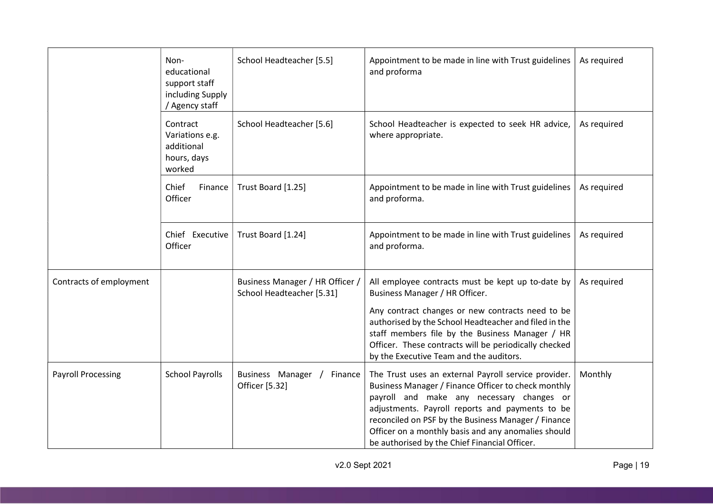|                           | Non-<br>educational<br>support staff<br>including Supply<br>Agency staff | School Headteacher [5.5]                                     | Appointment to be made in line with Trust guidelines<br>and proforma                                                                                                                                                                                                                                                                                                       | As required |
|---------------------------|--------------------------------------------------------------------------|--------------------------------------------------------------|----------------------------------------------------------------------------------------------------------------------------------------------------------------------------------------------------------------------------------------------------------------------------------------------------------------------------------------------------------------------------|-------------|
|                           | Contract<br>Variations e.g.<br>additional<br>hours, days<br>worked       | School Headteacher [5.6]                                     | School Headteacher is expected to seek HR advice,<br>where appropriate.                                                                                                                                                                                                                                                                                                    | As required |
|                           | Chief<br>Finance<br>Officer                                              | Trust Board [1.25]                                           | Appointment to be made in line with Trust guidelines<br>and proforma.                                                                                                                                                                                                                                                                                                      | As required |
|                           | Chief Executive<br>Officer                                               | Trust Board [1.24]                                           | Appointment to be made in line with Trust guidelines<br>and proforma.                                                                                                                                                                                                                                                                                                      | As required |
| Contracts of employment   |                                                                          | Business Manager / HR Officer /<br>School Headteacher [5.31] | All employee contracts must be kept up to-date by<br>Business Manager / HR Officer.<br>Any contract changes or new contracts need to be<br>authorised by the School Headteacher and filed in the<br>staff members file by the Business Manager / HR<br>Officer. These contracts will be periodically checked                                                               | As required |
|                           |                                                                          |                                                              | by the Executive Team and the auditors.                                                                                                                                                                                                                                                                                                                                    |             |
| <b>Payroll Processing</b> | <b>School Payrolls</b>                                                   | Business Manager /<br>Finance<br>Officer [5.32]              | The Trust uses an external Payroll service provider.<br>Business Manager / Finance Officer to check monthly<br>payroll and make any necessary changes or<br>adjustments. Payroll reports and payments to be<br>reconciled on PSF by the Business Manager / Finance<br>Officer on a monthly basis and any anomalies should<br>be authorised by the Chief Financial Officer. | Monthly     |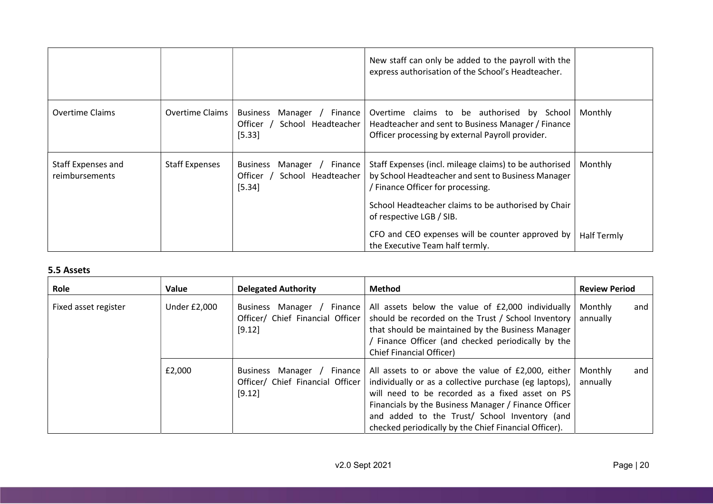|                                      |                        |                                                                                    | New staff can only be added to the payroll with the<br>express authorisation of the School's Headteacher.                                                                                                                            |                    |
|--------------------------------------|------------------------|------------------------------------------------------------------------------------|--------------------------------------------------------------------------------------------------------------------------------------------------------------------------------------------------------------------------------------|--------------------|
| <b>Overtime Claims</b>               | <b>Overtime Claims</b> | <b>Business</b><br>Manager /<br>Finance<br>Officer<br>School Headteacher<br>[5.33] | Overtime claims to be authorised by School<br>Headteacher and sent to Business Manager / Finance<br>Officer processing by external Payroll provider.                                                                                 | Monthly            |
| Staff Expenses and<br>reimbursements | <b>Staff Expenses</b>  | <b>Business</b><br>Manager /<br>Finance<br>Officer<br>School Headteacher<br>[5.34] | Staff Expenses (incl. mileage claims) to be authorised<br>by School Headteacher and sent to Business Manager<br>/ Finance Officer for processing.<br>School Headteacher claims to be authorised by Chair<br>of respective LGB / SIB. | Monthly            |
|                                      |                        |                                                                                    | CFO and CEO expenses will be counter approved by<br>the Executive Team half termly.                                                                                                                                                  | <b>Half Termly</b> |

## 5.5 Assets

| Role                 | Value               | <b>Delegated Authority</b>                                                  | <b>Method</b>                                                                                                                                                                                                                                                                                                                     | <b>Review Period</b>       |
|----------------------|---------------------|-----------------------------------------------------------------------------|-----------------------------------------------------------------------------------------------------------------------------------------------------------------------------------------------------------------------------------------------------------------------------------------------------------------------------------|----------------------------|
| Fixed asset register | <b>Under £2,000</b> | Business Manager / Finance<br>Officer/ Chief Financial Officer<br>[9.12]    | All assets below the value of £2,000 individually<br>should be recorded on the Trust / School Inventory<br>that should be maintained by the Business Manager<br>/ Finance Officer (and checked periodically by the<br>Chief Financial Officer)                                                                                    | Monthly<br>and<br>annually |
|                      | £2,000              | Manager / Finance<br>Business<br>Officer/ Chief Financial Officer<br>[9.12] | All assets to or above the value of £2,000, either<br>individually or as a collective purchase (eg laptops),<br>will need to be recorded as a fixed asset on PS<br>Financials by the Business Manager / Finance Officer<br>and added to the Trust/ School Inventory (and<br>checked periodically by the Chief Financial Officer). | Monthly<br>and<br>annually |